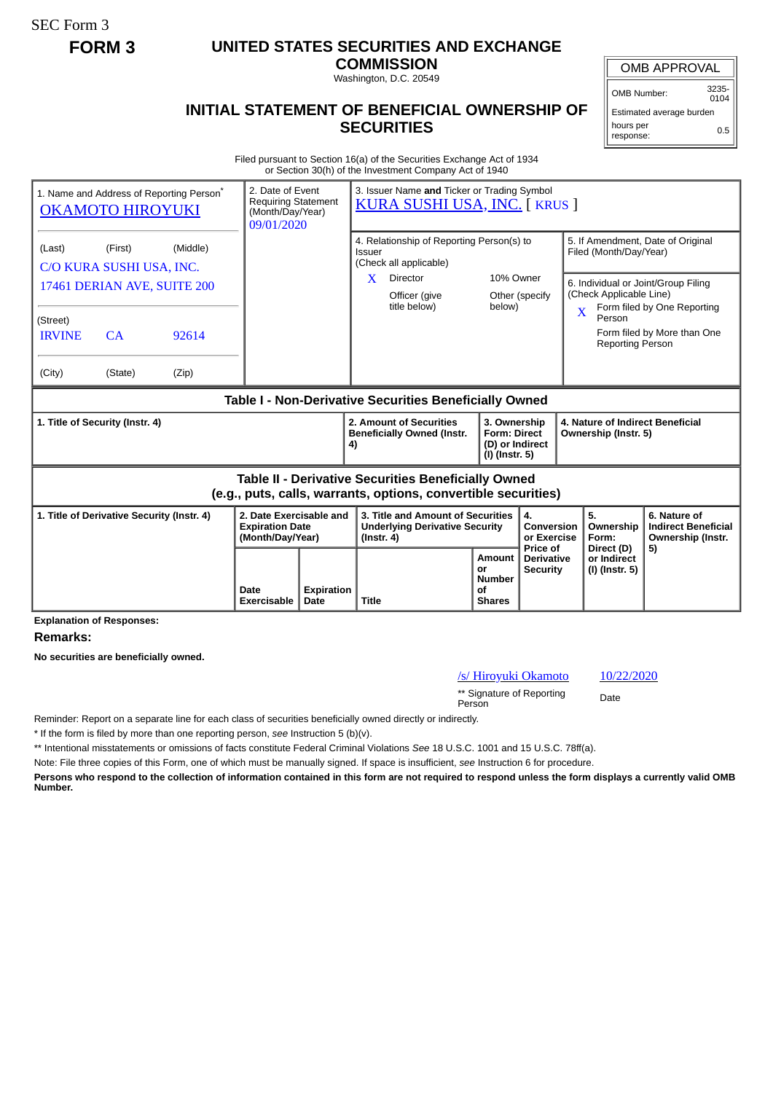SEC Form 3

## **FORM 3 UNITED STATES SECURITIES AND EXCHANGE**

**COMMISSION** Washington, D.C. 20549

## **INITIAL STATEMENT OF BENEFICIAL OWNERSHIP OF SECURITIES**

OMB APPROVAL

OMB Number: 3235-  $0104$ 

Estimated average burden hours per response: 0.5

Filed pursuant to Section 16(a) of the Securities Exchange Act of 1934 or Section 30(h) of the Investment Company Act of 1940

|                                                                                                                       | 1. Name and Address of Reporting Person <sup>®</sup><br><b>OKAMOTO HIROYUKI</b> |       | 3. Issuer Name and Ticker or Trading Symbol<br>2. Date of Event<br><b>Requiring Statement</b><br><b>KURA SUSHI USA, INC. [ KRUS ]</b><br>(Month/Day/Year)<br>09/01/2020 |                           |                                                                                                |                                                                                      |                                                                                              |                                                    |                                                                                                    |                                                             |                                                                 |  |
|-----------------------------------------------------------------------------------------------------------------------|---------------------------------------------------------------------------------|-------|-------------------------------------------------------------------------------------------------------------------------------------------------------------------------|---------------------------|------------------------------------------------------------------------------------------------|--------------------------------------------------------------------------------------|----------------------------------------------------------------------------------------------|----------------------------------------------------|----------------------------------------------------------------------------------------------------|-------------------------------------------------------------|-----------------------------------------------------------------|--|
| (Last)                                                                                                                | (Middle)<br>(First)<br>C/O KURA SUSHI USA, INC.                                 |       |                                                                                                                                                                         |                           |                                                                                                | 4. Relationship of Reporting Person(s) to<br><b>Issuer</b><br>(Check all applicable) |                                                                                              |                                                    |                                                                                                    | 5. If Amendment, Date of Original<br>Filed (Month/Day/Year) |                                                                 |  |
| 17461 DERIAN AVE, SUITE 200                                                                                           |                                                                                 |       |                                                                                                                                                                         |                           | X                                                                                              | Director<br>Officer (give<br>title below)                                            | 10% Owner<br>below)                                                                          | Other (specify                                     | 6. Individual or Joint/Group Filing<br>(Check Applicable Line)<br>Form filed by One Reporting<br>X |                                                             |                                                                 |  |
| (Street)<br><b>IRVINE</b>                                                                                             | CA                                                                              | 92614 |                                                                                                                                                                         |                           |                                                                                                |                                                                                      |                                                                                              |                                                    |                                                                                                    | Person<br><b>Reporting Person</b>                           | Form filed by More than One                                     |  |
| (City)                                                                                                                | (State)                                                                         | (Zip) |                                                                                                                                                                         |                           |                                                                                                |                                                                                      |                                                                                              |                                                    |                                                                                                    |                                                             |                                                                 |  |
| Table I - Non-Derivative Securities Beneficially Owned                                                                |                                                                                 |       |                                                                                                                                                                         |                           |                                                                                                |                                                                                      |                                                                                              |                                                    |                                                                                                    |                                                             |                                                                 |  |
| 1. Title of Security (Instr. 4)                                                                                       |                                                                                 |       |                                                                                                                                                                         |                           | 2. Amount of Securities<br><b>Beneficially Owned (Instr.</b><br>4)                             |                                                                                      | 3. Ownership<br><b>Form: Direct</b><br>(D) or Indirect<br>(I) (Instr. 5)                     |                                                    | 4. Nature of Indirect Beneficial<br>Ownership (Instr. 5)                                           |                                                             |                                                                 |  |
| Table II - Derivative Securities Beneficially Owned<br>(e.g., puts, calls, warrants, options, convertible securities) |                                                                                 |       |                                                                                                                                                                         |                           |                                                                                                |                                                                                      |                                                                                              |                                                    |                                                                                                    |                                                             |                                                                 |  |
| 1. Title of Derivative Security (Instr. 4)                                                                            |                                                                                 |       | 2. Date Exercisable and<br><b>Expiration Date</b><br>(Month/Day/Year)                                                                                                   |                           | 3. Title and Amount of Securities<br><b>Underlying Derivative Security</b><br>$($ lnstr. 4 $)$ |                                                                                      |                                                                                              | 4.<br><b>Conversion</b><br>or Exercise<br>Price of |                                                                                                    | 5.<br>Ownership<br>Form:                                    | 6. Nature of<br><b>Indirect Beneficial</b><br>Ownership (Instr. |  |
|                                                                                                                       |                                                                                 |       | Date<br>Exercisable                                                                                                                                                     | <b>Expiration</b><br>Date | <b>Title</b>                                                                                   |                                                                                      | Amount<br><b>Derivative</b><br>or<br><b>Security</b><br><b>Number</b><br>of<br><b>Shares</b> |                                                    |                                                                                                    | Direct (D)<br>or Indirect<br>(I) (Instr. 5)                 | 5)                                                              |  |

**Explanation of Responses:**

**Remarks:**

**No securities are beneficially owned.**

/s/ Hiroyuki Okamoto 10/22/2020

\*\* Signature of Reporting Person Date

Reminder: Report on a separate line for each class of securities beneficially owned directly or indirectly.

\* If the form is filed by more than one reporting person, *see* Instruction 5 (b)(v).

\*\* Intentional misstatements or omissions of facts constitute Federal Criminal Violations *See* 18 U.S.C. 1001 and 15 U.S.C. 78ff(a).

Note: File three copies of this Form, one of which must be manually signed. If space is insufficient, *see* Instruction 6 for procedure.

**Persons who respond to the collection of information contained in this form are not required to respond unless the form displays a currently valid OMB Number.**